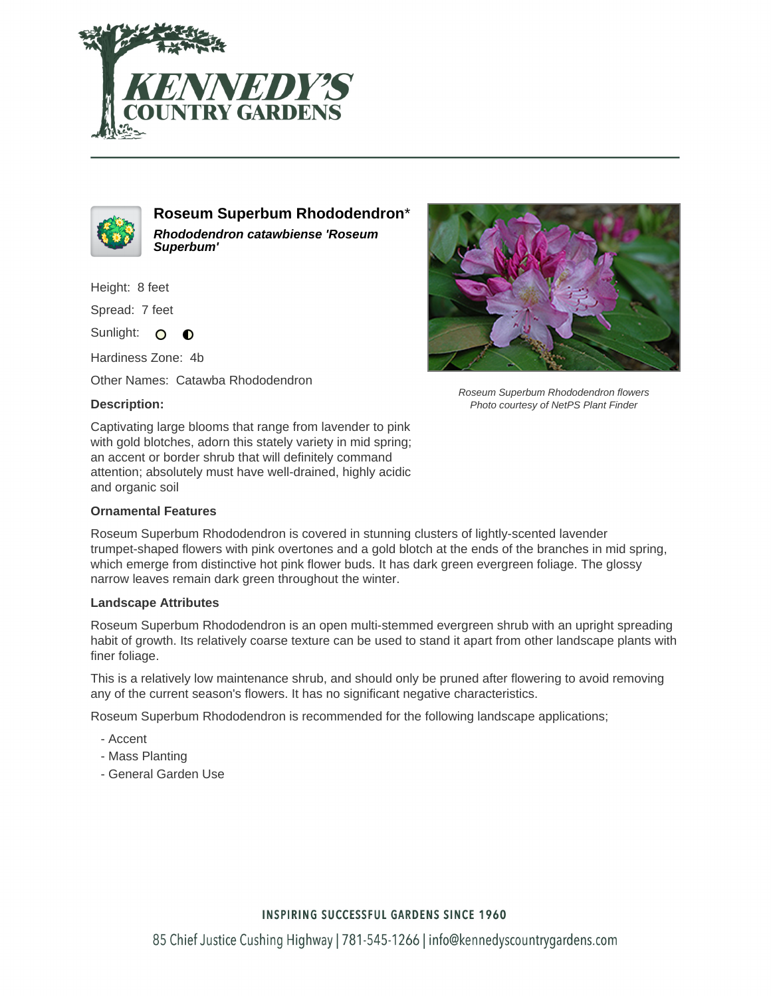



**Roseum Superbum Rhododendron**\* **Rhododendron catawbiense 'Roseum Superbum'**

Height: 8 feet

Spread: 7 feet

Sunlight: O  $\bullet$ 

Hardiness Zone: 4b

Other Names: Catawba Rhododendron

### **Description:**

Roseum Superbum Rhododendron flowers Photo courtesy of NetPS Plant Finder

Captivating large blooms that range from lavender to pink with gold blotches, adorn this stately variety in mid spring; an accent or border shrub that will definitely command attention; absolutely must have well-drained, highly acidic and organic soil

#### **Ornamental Features**

Roseum Superbum Rhododendron is covered in stunning clusters of lightly-scented lavender trumpet-shaped flowers with pink overtones and a gold blotch at the ends of the branches in mid spring, which emerge from distinctive hot pink flower buds. It has dark green evergreen foliage. The glossy narrow leaves remain dark green throughout the winter.

#### **Landscape Attributes**

Roseum Superbum Rhododendron is an open multi-stemmed evergreen shrub with an upright spreading habit of growth. Its relatively coarse texture can be used to stand it apart from other landscape plants with finer foliage.

This is a relatively low maintenance shrub, and should only be pruned after flowering to avoid removing any of the current season's flowers. It has no significant negative characteristics.

Roseum Superbum Rhododendron is recommended for the following landscape applications;

- Accent
- Mass Planting
- General Garden Use

## **INSPIRING SUCCESSFUL GARDENS SINCE 1960**

85 Chief Justice Cushing Highway | 781-545-1266 | info@kennedyscountrygardens.com